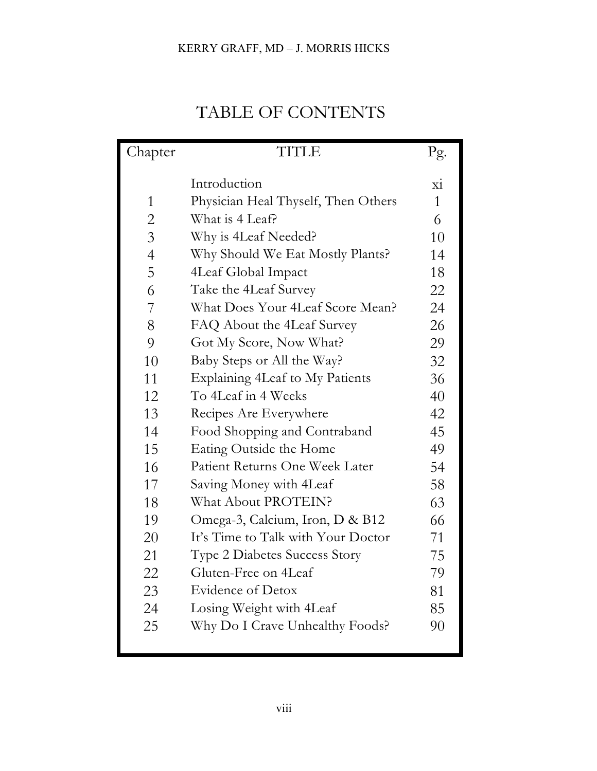## KERRY GRAFF, MD – J. MORRIS HICKS

## TABLE OF CONTENTS

| Chapter        | <b>TITLE</b>                         | Pg.                      |
|----------------|--------------------------------------|--------------------------|
|                | Introduction                         |                          |
|                |                                      | $\overline{\mathrm{xi}}$ |
| $\mathbf{1}$   | Physician Heal Thyself, Then Others  | $\mathbf{1}$             |
| $\overline{c}$ | What is 4 Leaf?                      | 6                        |
| $\overline{3}$ | Why is 4Leaf Needed?                 | 10                       |
| $\overline{4}$ | Why Should We Eat Mostly Plants?     | 14                       |
| 5              | 4Leaf Global Impact                  | 18                       |
| 6              | Take the 4Leaf Survey                | 22                       |
| 7              | What Does Your 4Leaf Score Mean?     | 24                       |
| 8              | FAQ About the 4Leaf Survey           | 26                       |
| 9              | Got My Score, Now What?              | 29                       |
| 10             | Baby Steps or All the Way?           | 32                       |
| 11             | Explaining 4Leaf to My Patients      | 36                       |
| 12             | To 4Leaf in 4 Weeks                  | 40                       |
| 13             | Recipes Are Everywhere               | 42                       |
| 14             | Food Shopping and Contraband         | 45                       |
| 15             | Eating Outside the Home              | 49                       |
| 16             | Patient Returns One Week Later       | 54                       |
| 17             | Saving Money with 4Leaf              | 58                       |
| 18             | What About PROTEIN?                  | 63                       |
| 19             | Omega-3, Calcium, Iron, D & B12      | 66                       |
| 20             | It's Time to Talk with Your Doctor   | 71                       |
| 21             | <b>Type 2 Diabetes Success Story</b> | 75                       |
| 22             | Gluten-Free on 4Leaf                 | 79                       |
| 23             | Evidence of Detox                    | 81                       |
| 24             | Losing Weight with 4 Leaf            | 85                       |
| 25             | Why Do I Crave Unhealthy Foods?      | 90                       |
|                |                                      |                          |